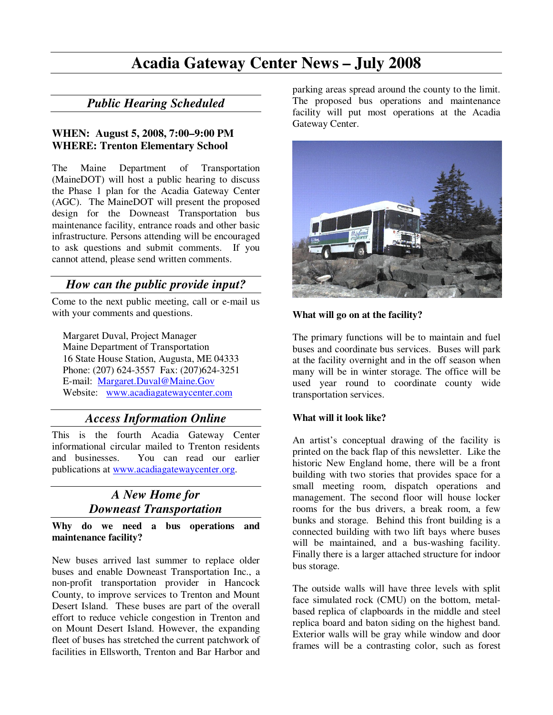## **Acadia Gateway Center News – July 2008**

## *Public Hearing Scheduled*

#### **WHEN: August 5, 2008, 7:00–9:00 PM WHERE: Trenton Elementary School**

The Maine Department of Transportation (MaineDOT) will host a public hearing to discuss the Phase 1 plan for the Acadia Gateway Center (AGC). The MaineDOT will present the proposed design for the Downeast Transportation bus maintenance facility, entrance roads and other basic infrastructure. Persons attending will be encouraged to ask questions and submit comments. If you cannot attend, please send written comments.

## *How can the public provide input?*

Come to the next public meeting, call or e-mail us with your comments and questions.

Margaret Duval, Project Manager Maine Department of Transportation 16 State House Station, Augusta, ME 04333 Phone: (207) 624-3557 Fax: (207)624-3251 E-mail: Margaret.Duval@Maine.Gov Website: www.acadiagatewaycenter.com

## *Access Information Online*

This is the fourth Acadia Gateway Center informational circular mailed to Trenton residents and businesses. You can read our earlier publications at www.acadiagatewaycenter.org.

## *A New Home for Downeast Transportation*

**Why do we need a bus operations and maintenance facility?** 

New buses arrived last summer to replace older buses and enable Downeast Transportation Inc., a non-profit transportation provider in Hancock County, to improve services to Trenton and Mount Desert Island. These buses are part of the overall effort to reduce vehicle congestion in Trenton and on Mount Desert Island. However, the expanding fleet of buses has stretched the current patchwork of facilities in Ellsworth, Trenton and Bar Harbor and

parking areas spread around the county to the limit. The proposed bus operations and maintenance facility will put most operations at the Acadia Gateway Center.



#### **What will go on at the facility?**

The primary functions will be to maintain and fuel buses and coordinate bus services. Buses will park at the facility overnight and in the off season when many will be in winter storage. The office will be used year round to coordinate county wide transportation services.

#### **What will it look like?**

An artist's conceptual drawing of the facility is printed on the back flap of this newsletter. Like the historic New England home, there will be a front building with two stories that provides space for a small meeting room, dispatch operations and management. The second floor will house locker rooms for the bus drivers, a break room, a few bunks and storage. Behind this front building is a connected building with two lift bays where buses will be maintained, and a bus-washing facility. Finally there is a larger attached structure for indoor bus storage.

The outside walls will have three levels with split face simulated rock (CMU) on the bottom, metalbased replica of clapboards in the middle and steel replica board and baton siding on the highest band. Exterior walls will be gray while window and door frames will be a contrasting color, such as forest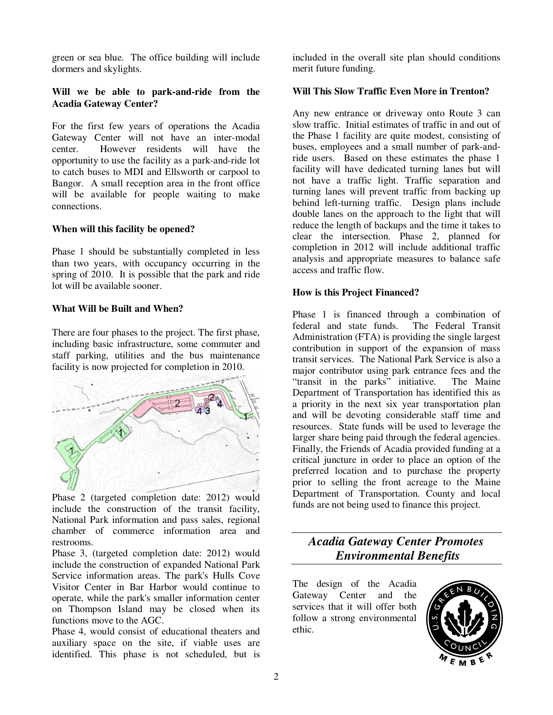green or sea blue. The office building will include dormers and skylights.

#### **Will we be able to park-and-ride from the Acadia Gateway Center?**

For the first few years of operations the Acadia Gateway Center will not have an inter-modal center. However residents will have the opportunity to use the facility as a park-and-ride lot to catch buses to MDI and Ellsworth or carpool to Bangor. A small reception area in the front office will be available for people waiting to make connections.

#### **When will this facility be opened?**

Phase 1 should be substantially completed in less than two years, with occupancy occurring in the spring of 2010. It is possible that the park and ride lot will be available sooner.

#### **What Will be Built and When?**

There are four phases to the project. The first phase, including basic infrastructure, some commuter and staff parking, utilities and the bus maintenance facility is now projected for completion in 2010.



Phase 2 (targeted completion date: 2012) would include the construction of the transit facility, National Park information and pass sales, regional chamber of commerce information area and restrooms.

Phase 3, (targeted completion date: 2012) would include the construction of expanded National Park Service information areas. The park's Hulls Cove Visitor Center in Bar Harbor would continue to operate, while the park's smaller information center on Thompson Island may be closed when its functions move to the AGC.

Phase 4, would consist of educational theaters and auxiliary space on the site, if viable uses are identified. This phase is not scheduled, but is

included in the overall site plan should conditions merit future funding.

#### **Will This Slow Traffic Even More in Trenton?**

Any new entrance or driveway onto Route 3 can slow traffic. Initial estimates of traffic in and out of the Phase 1 facility are quite modest, consisting of buses, employees and a small number of park-andride users. Based on these estimates the phase 1 facility will have dedicated turning lanes but will not have a traffic light. Traffic separation and turning lanes will prevent traffic from backing up behind left-turning traffic. Design plans include double lanes on the approach to the light that will reduce the length of backups and the time it takes to clear the intersection. Phase 2, planned for completion in 2012 will include additional traffic analysis and appropriate measures to balance safe access and traffic flow.

#### **How is this Project Financed?**

Phase 1 is financed through a combination of federal and state funds. The Federal Transit Administration (FTA) is providing the single largest contribution in support of the expansion of mass transit services. The National Park Service is also a major contributor using park entrance fees and the "transit in the parks" initiative. The Maine Department of Transportation has identified this as a priority in the next six year transportation plan and will be devoting considerable staff time and resources. State funds will be used to leverage the larger share being paid through the federal agencies. Finally, the Friends of Acadia provided funding at a critical juncture in order to place an option of the preferred location and to purchase the property prior to selling the front acreage to the Maine Department of Transportation. County and local funds are not being used to finance this project.

*Acadia Gateway Center Promotes Environmental Benefits* 

The design of the Acadia Gateway Center and the services that it will offer both follow a strong environmental ethic.

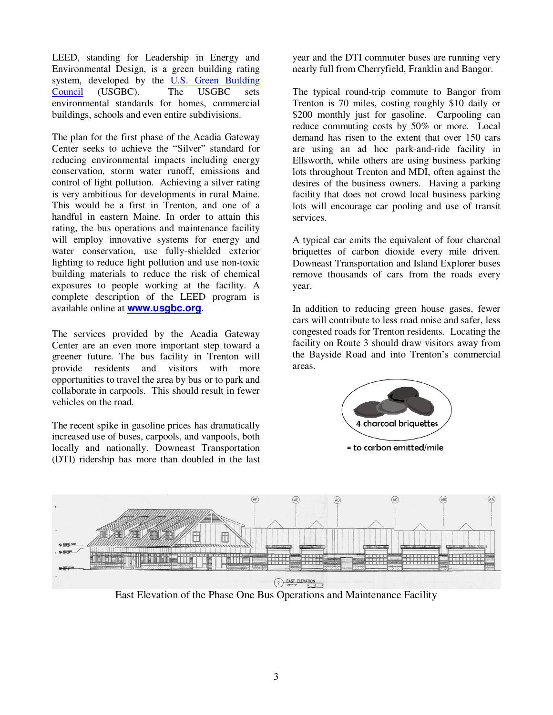LEED, standing for Leadership in Energy and Environmental Design, is a green building rating system, developed by the U.S. Green Building Council (USGBC). The USGBC sets environmental standards for homes, commercial buildings, schools and even entire subdivisions.

The plan for the first phase of the Acadia Gateway Center seeks to achieve the "Silver" standard for reducing environmental impacts including energy conservation, storm water runoff, emissions and control of light pollution. Achieving a silver rating is very ambitious for developments in rural Maine. This would be a first in Trenton, and one of a handful in eastern Maine. In order to attain this rating, the bus operations and maintenance facility will employ innovative systems for energy and water conservation, use fully-shielded exterior lighting to reduce light pollution and use non-toxic building materials to reduce the risk of chemical exposures to people working at the facility. A complete description of the LEED program is available online at **www.usgbc.org**.

The services provided by the Acadia Gateway Center are an even more important step toward a greener future. The bus facility in Trenton will provide residents and visitors with more opportunities to travel the area by bus or to park and collaborate in carpools. This should result in fewer vehicles on the road.

The recent spike in gasoline prices has dramatically increased use of buses, carpools, and vanpools, both locally and nationally. Downeast Transportation (DTI) ridership has more than doubled in the last

year and the DTI commuter buses are running very nearly full from Cherryfield, Franklin and Bangor.

The typical round-trip commute to Bangor from Trenton is 70 miles, costing roughly \$10 daily or \$200 monthly just for gasoline. Carpooling can reduce commuting costs by 50% or more. Local demand has risen to the extent that over 150 cars are using an ad hoc park-and-ride facility in Ellsworth, while others are using business parking lots throughout Trenton and MDI, often against the desires of the business owners. Having a parking facility that does not crowd local business parking lots will encourage car pooling and use of transit services.

A typical car emits the equivalent of four charcoal briquettes of carbon dioxide every mile driven. Downeast Transportation and Island Explorer buses remove thousands of cars from the roads every year.

In addition to reducing green house gases, fewer cars will contribute to less road noise and safer, less congested roads for Trenton residents. Locating the facility on Route 3 should draw visitors away from the Bayside Road and into Trenton's commercial areas.





East Elevation of the Phase One Bus Operations and Maintenance Facility